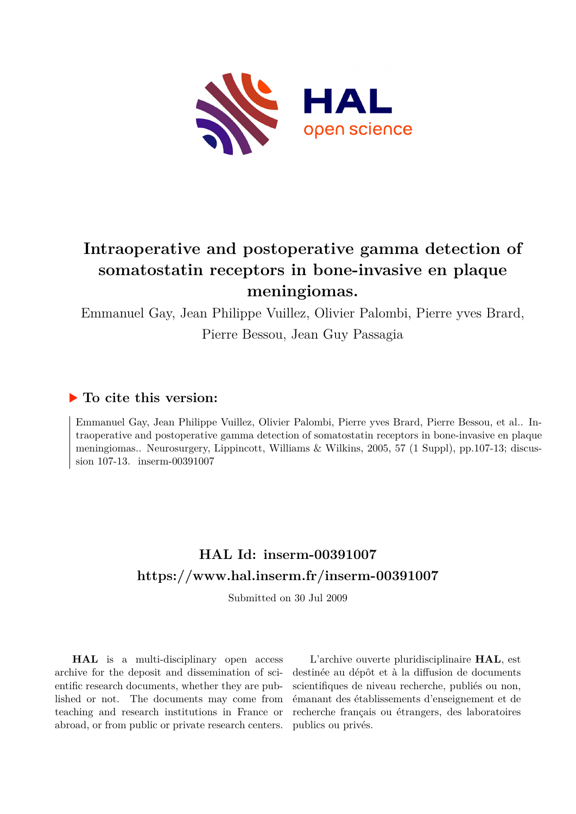

## **Intraoperative and postoperative gamma detection of somatostatin receptors in bone-invasive en plaque meningiomas.**

Emmanuel Gay, Jean Philippe Vuillez, Olivier Palombi, Pierre yves Brard, Pierre Bessou, Jean Guy Passagia

## **To cite this version:**

Emmanuel Gay, Jean Philippe Vuillez, Olivier Palombi, Pierre yves Brard, Pierre Bessou, et al.. Intraoperative and postoperative gamma detection of somatostatin receptors in bone-invasive en plaque meningiomas.. Neurosurgery, Lippincott, Williams & Wilkins, 2005, 57 (1 Suppl), pp.107-13; discussion  $107-13$ . inserm-00391007

## **HAL Id: inserm-00391007 <https://www.hal.inserm.fr/inserm-00391007>**

Submitted on 30 Jul 2009

**HAL** is a multi-disciplinary open access archive for the deposit and dissemination of scientific research documents, whether they are published or not. The documents may come from teaching and research institutions in France or abroad, or from public or private research centers.

L'archive ouverte pluridisciplinaire **HAL**, est destinée au dépôt et à la diffusion de documents scientifiques de niveau recherche, publiés ou non, émanant des établissements d'enseignement et de recherche français ou étrangers, des laboratoires publics ou privés.